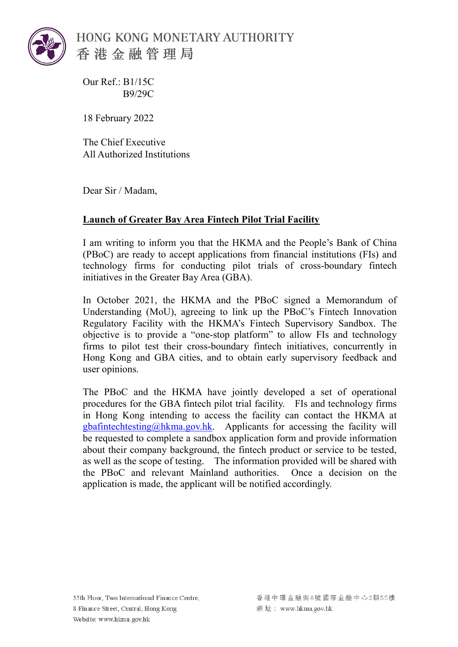

HONG KONG MONETARY AUTHORITY 香港金融管理局

Our Ref.: B1/15C B9/29C

18 February 2022

The Chief Executive All Authorized Institutions

Dear Sir / Madam,

## **Launch of Greater Bay Area Fintech Pilot Trial Facility**

I am writing to inform you that the HKMA and the People's Bank of China (PBoC) are ready to accept applications from financial institutions (FIs) and technology firms for conducting pilot trials of cross-boundary fintech initiatives in the Greater Bay Area (GBA).

In October 2021, the HKMA and the PBoC signed a Memorandum of Understanding (MoU), agreeing to link up the PBoC's Fintech Innovation Regulatory Facility with the HKMA's Fintech Supervisory Sandbox. The objective is to provide a "one-stop platform" to allow FIs and technology firms to pilot test their cross-boundary fintech initiatives, concurrently in Hong Kong and GBA cities, and to obtain early supervisory feedback and user opinions.

The PBoC and the HKMA have jointly developed a set of operational procedures for the GBA fintech pilot trial facility. FIs and technology firms in Hong Kong intending to access the facility can contact the HKMA at [gbafintechtesting@hkma.gov.hk.](mailto:gbafintechtesting@hkma.gov.hk) Applicants for accessing the facility will be requested to complete a sandbox application form and provide information about their company background, the fintech product or service to be tested, as well as the scope of testing. The information provided will be shared with the PBoC and relevant Mainland authorities. Once a decision on the application is made, the applicant will be notified accordingly.